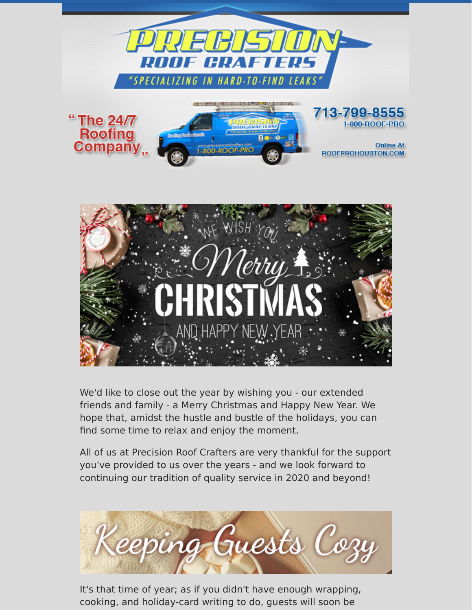



We'd like to close out the year by wishing you - our extended friends and family - a Merry Christmas and Happy New Year. We hope that, amidst the hustle and bustle of the holidays, you can find some time to relax and enjoy the moment.

All of us at Precision Roof Crafters are very thankful for the support you've provided to us over the years - and we look forward to continuing our tradition of quality service in 2020 and beyond!



It's that time of year; as if you didn't have enough wrapping, cooking, and holiday-card writing to do, guests will soon be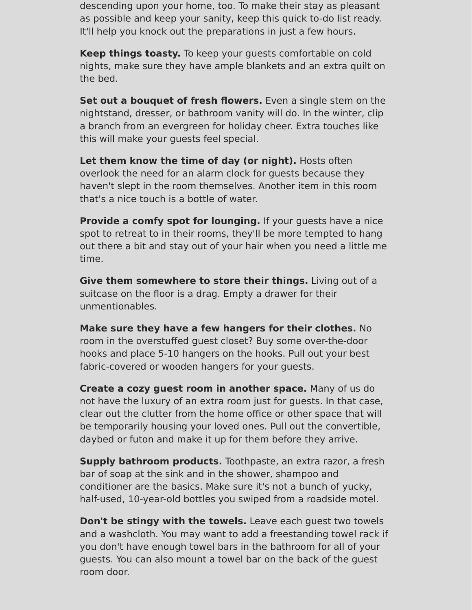descending upon your home, too. To make their stay as pleasant as possible and keep your sanity, keep this quick to-do list ready. It'll help you knock out the preparations in just a few hours.

**Keep things toasty.** To keep your guests comfortable on cold nights, make sure they have ample blankets and an extra quilt on the bed.

**Set out a bouquet of fresh flowers.** Even a single stem on the nightstand, dresser, or bathroom vanity will do. In the winter, clip a branch from an evergreen for holiday cheer. Extra touches like this will make your guests feel special.

**Let them know the time of day (or night).** Hosts often overlook the need for an alarm clock for guests because they haven't slept in the room themselves. Another item in this room that's a nice touch is a bottle of water.

**Provide a comfy spot for lounging.** If your quests have a nice spot to retreat to in their rooms, they'll be more tempted to hang out there a bit and stay out of your hair when you need a little me time.

**Give them somewhere to store their things.** Living out of a suitcase on the floor is a drag. Empty a drawer for their unmentionables.

**Make sure they have a few hangers for their clothes.** No room in the overstuffed guest closet? Buy some over-the-door hooks and place 5-10 hangers on the hooks. Pull out your best fabric-covered or wooden hangers for your guests.

**Create a cozy guest room in another space.** Many of us do not have the luxury of an extra room just for guests. In that case, clear out the clutter from the home office or other space that will be temporarily housing your loved ones. Pull out the convertible, daybed or futon and make it up for them before they arrive.

**Supply bathroom products.** Toothpaste, an extra razor, a fresh bar of soap at the sink and in the shower, shampoo and conditioner are the basics. Make sure it's not a bunch of yucky, half-used, 10-year-old bottles you swiped from a roadside motel.

**Don't be stingy with the towels.** Leave each guest two towels and a washcloth. You may want to add a freestanding towel rack if you don't have enough towel bars in the bathroom for all of your guests. You can also mount a towel bar on the back of the guest room door.